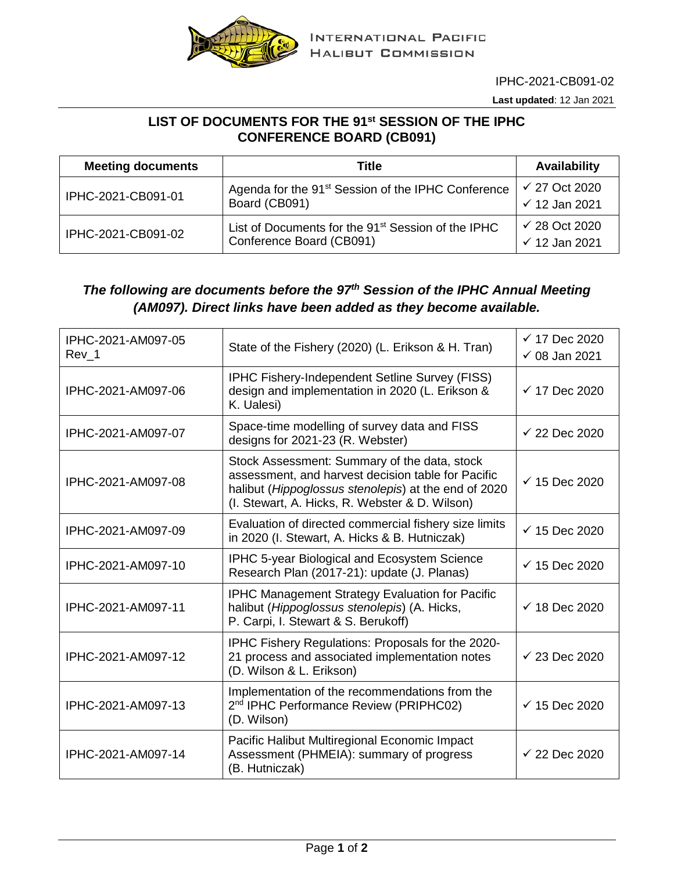

IPHC-2021-CB091-02

**Last updated**: 12 Jan 2021

## **LIST OF DOCUMENTS FOR THE 91st SESSION OF THE IPHC CONFERENCE BOARD (CB091)**

| <b>Meeting documents</b> | Title                                                                                      | <b>Availability</b>                                  |
|--------------------------|--------------------------------------------------------------------------------------------|------------------------------------------------------|
| IPHC-2021-CB091-01       | Agenda for the 91 <sup>st</sup> Session of the IPHC Conference<br>Board (CB091)            | $\checkmark$ 27 Oct 2020<br>$\checkmark$ 12 Jan 2021 |
| IPHC-2021-CB091-02       | List of Documents for the 91 <sup>st</sup> Session of the IPHC<br>Conference Board (CB091) | $\checkmark$ 28 Oct 2020<br>$\checkmark$ 12 Jan 2021 |

## *The following are documents before the 97th Session of the IPHC Annual Meeting (AM097). Direct links have been added as they become available.*

| IPHC-2021-AM097-05<br>Rev 1 | State of the Fishery (2020) (L. Erikson & H. Tran)                                                                                                                                                           | $\checkmark$ 17 Dec 2020<br>$\checkmark$ 08 Jan 2021 |
|-----------------------------|--------------------------------------------------------------------------------------------------------------------------------------------------------------------------------------------------------------|------------------------------------------------------|
| IPHC-2021-AM097-06          | <b>IPHC Fishery-Independent Setline Survey (FISS)</b><br>design and implementation in 2020 (L. Erikson &<br>K. Ualesi)                                                                                       | $\checkmark$ 17 Dec 2020                             |
| IPHC-2021-AM097-07          | Space-time modelling of survey data and FISS<br>designs for 2021-23 (R. Webster)                                                                                                                             | $\checkmark$ 22 Dec 2020                             |
| IPHC-2021-AM097-08          | Stock Assessment: Summary of the data, stock<br>assessment, and harvest decision table for Pacific<br>halibut (Hippoglossus stenolepis) at the end of 2020<br>(I. Stewart, A. Hicks, R. Webster & D. Wilson) | $\checkmark$ 15 Dec 2020                             |
| IPHC-2021-AM097-09          | Evaluation of directed commercial fishery size limits<br>in 2020 (I. Stewart, A. Hicks & B. Hutniczak)                                                                                                       | $\checkmark$ 15 Dec 2020                             |
| IPHC-2021-AM097-10          | <b>IPHC 5-year Biological and Ecosystem Science</b><br>Research Plan (2017-21): update (J. Planas)                                                                                                           | $\checkmark$ 15 Dec 2020                             |
| IPHC-2021-AM097-11          | <b>IPHC Management Strategy Evaluation for Pacific</b><br>halibut (Hippoglossus stenolepis) (A. Hicks,<br>P. Carpi, I. Stewart & S. Berukoff)                                                                | $\checkmark$ 18 Dec 2020                             |
| IPHC-2021-AM097-12          | IPHC Fishery Regulations: Proposals for the 2020-<br>21 process and associated implementation notes<br>(D. Wilson & L. Erikson)                                                                              | $\checkmark$ 23 Dec 2020                             |
| IPHC-2021-AM097-13          | Implementation of the recommendations from the<br>2 <sup>nd</sup> IPHC Performance Review (PRIPHC02)<br>(D. Wilson)                                                                                          | $\checkmark$ 15 Dec 2020                             |
| IPHC-2021-AM097-14          | Pacific Halibut Multiregional Economic Impact<br>Assessment (PHMEIA): summary of progress<br>(B. Hutniczak)                                                                                                  | $\checkmark$ 22 Dec 2020                             |